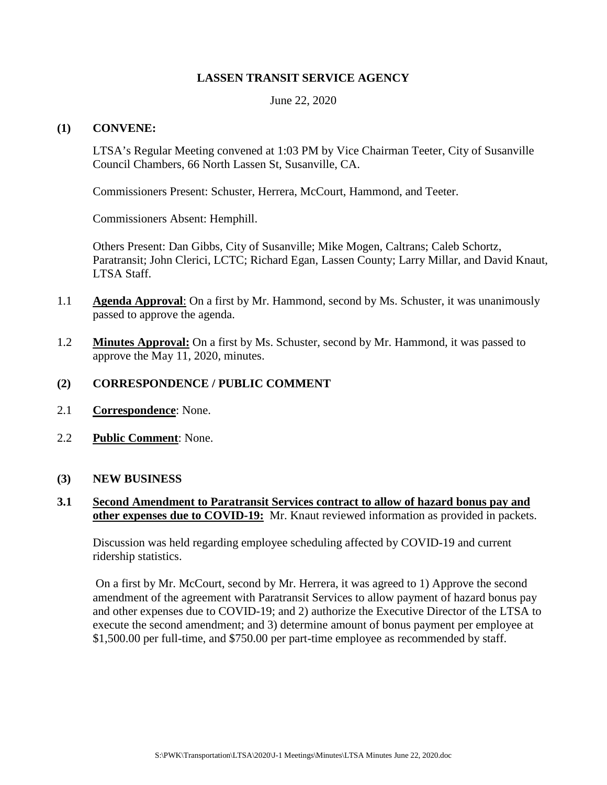### **LASSEN TRANSIT SERVICE AGENCY**

June 22, 2020

### **(1) CONVENE:**

LTSA's Regular Meeting convened at 1:03 PM by Vice Chairman Teeter, City of Susanville Council Chambers, 66 North Lassen St, Susanville, CA.

Commissioners Present: Schuster, Herrera, McCourt, Hammond, and Teeter.

Commissioners Absent: Hemphill.

Others Present: Dan Gibbs, City of Susanville; Mike Mogen, Caltrans; Caleb Schortz, Paratransit; John Clerici, LCTC; Richard Egan, Lassen County; Larry Millar, and David Knaut, LTSA Staff.

- 1.1 **Agenda Approval**: On a first by Mr. Hammond, second by Ms. Schuster, it was unanimously passed to approve the agenda.
- 1.2 **Minutes Approval:** On a first by Ms. Schuster, second by Mr. Hammond, it was passed to approve the May 11, 2020, minutes.

### **(2) CORRESPONDENCE / PUBLIC COMMENT**

- 2.1 **Correspondence**: None.
- 2.2 **Public Comment**: None.
- **(3) NEW BUSINESS**

## **3.1 Second Amendment to Paratransit Services contract to allow of hazard bonus pay and other expenses due to COVID-19:** Mr. Knaut reviewed information as provided in packets.

Discussion was held regarding employee scheduling affected by COVID-19 and current ridership statistics.

On a first by Mr. McCourt, second by Mr. Herrera, it was agreed to 1) Approve the second amendment of the agreement with Paratransit Services to allow payment of hazard bonus pay and other expenses due to COVID-19; and 2) authorize the Executive Director of the LTSA to execute the second amendment; and 3) determine amount of bonus payment per employee at \$1,500.00 per full-time, and \$750.00 per part-time employee as recommended by staff.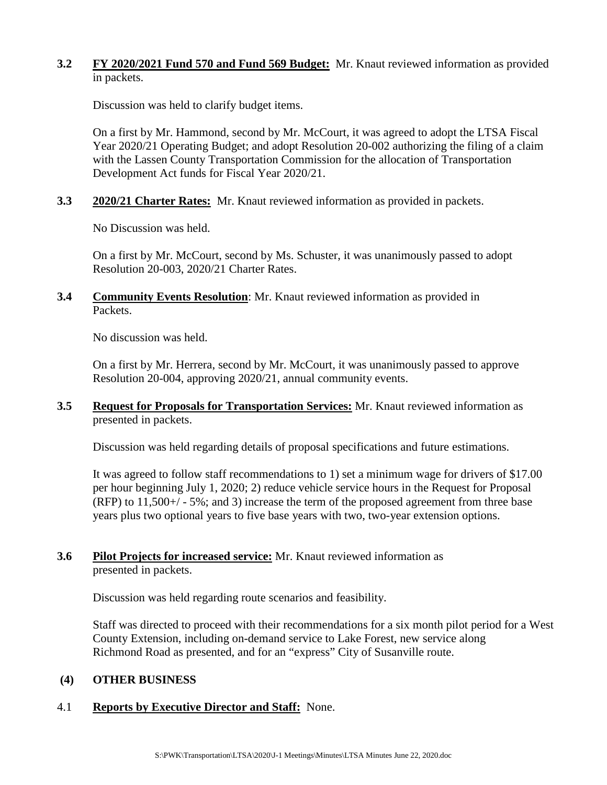## **3.2 FY 2020/2021 Fund 570 and Fund 569 Budget:** Mr. Knaut reviewed information as provided in packets.

Discussion was held to clarify budget items.

On a first by Mr. Hammond, second by Mr. McCourt, it was agreed to adopt the LTSA Fiscal Year 2020/21 Operating Budget; and adopt Resolution 20-002 authorizing the filing of a claim with the Lassen County Transportation Commission for the allocation of Transportation Development Act funds for Fiscal Year 2020/21.

**3.3 2020/21 Charter Rates:** Mr. Knaut reviewed information as provided in packets.

No Discussion was held.

On a first by Mr. McCourt, second by Ms. Schuster, it was unanimously passed to adopt Resolution 20-003, 2020/21 Charter Rates.

**3.4 Community Events Resolution**: Mr. Knaut reviewed information as provided in Packets.

No discussion was held.

On a first by Mr. Herrera, second by Mr. McCourt, it was unanimously passed to approve Resolution 20-004, approving 2020/21, annual community events.

**3.5 Request for Proposals for Transportation Services:** Mr. Knaut reviewed information as presented in packets.

Discussion was held regarding details of proposal specifications and future estimations.

It was agreed to follow staff recommendations to 1) set a minimum wage for drivers of \$17.00 per hour beginning July 1, 2020; 2) reduce vehicle service hours in the Request for Proposal (RFP) to 11,500+/ - 5%; and 3) increase the term of the proposed agreement from three base years plus two optional years to five base years with two, two-year extension options.

## **3.6 Pilot Projects for increased service:** Mr. Knaut reviewed information as presented in packets.

Discussion was held regarding route scenarios and feasibility.

Staff was directed to proceed with their recommendations for a six month pilot period for a West County Extension, including on-demand service to Lake Forest, new service along Richmond Road as presented, and for an "express" City of Susanville route.

## **(4) OTHER BUSINESS**

# 4.1 **Reports by Executive Director and Staff:** None.